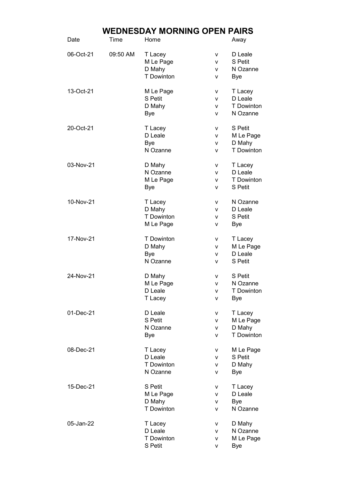## WEDNESDAY MORNING OPEN PAIRS

| Date      | Time     | Home                 |        | Away                      |
|-----------|----------|----------------------|--------|---------------------------|
| 06-Oct-21 | 09:50 AM | T Lacey<br>M Le Page | v<br>v | D Leale<br><b>S</b> Petit |
|           |          | D Mahy               | v      | N Ozanne                  |
|           |          | T Dowinton           | ۷      | Bye                       |
| 13-Oct-21 |          | M Le Page            | v      | T Lacey                   |
|           |          | S Petit              | v      | D Leale                   |
|           |          | D Mahy               | v      | <b>T</b> Dowinton         |
|           |          | <b>Bye</b>           | v      | N Ozanne                  |
| 20-Oct-21 |          | T Lacey              | v      | <b>S</b> Petit            |
|           |          | D Leale              | v      | M Le Page                 |
|           |          | <b>Bye</b>           | v      | D Mahy                    |
|           |          | N Ozanne             | v      | T Dowinton                |
| 03-Nov-21 |          | D Mahy               | ۷      | T Lacey                   |
|           |          | N Ozanne             | v      | D Leale                   |
|           |          | M Le Page            | v      | T Dowinton                |
|           |          | Bye                  | v      | <b>S</b> Petit            |
| 10-Nov-21 |          | T Lacey              | v      | N Ozanne                  |
|           |          | D Mahy               | v      | D Leale                   |
|           |          | T Dowinton           | v      | <b>S</b> Petit            |
|           |          | M Le Page            | v      | Bye                       |
| 17-Nov-21 |          | T Dowinton           | v      | T Lacey                   |
|           |          | D Mahy               | v      | M Le Page                 |
|           |          | <b>Bye</b>           | v      | D Leale                   |
|           |          | N Ozanne             | v      | <b>S</b> Petit            |
| 24-Nov-21 |          | D Mahy               | ۷      | <b>S</b> Petit            |
|           |          | M Le Page            | v      | N Ozanne                  |
|           |          | D Leale              | v      | T Dowinton                |
|           |          | T Lacey              | v      | <b>Bye</b>                |
| 01-Dec-21 |          | D Leale              | ۷      | T Lacey                   |
|           |          | S Petit              | v      | M Le Page                 |
|           |          | N Ozanne             | v      | D Mahy                    |
|           |          | Bye                  | v      | <b>T</b> Dowinton         |
| 08-Dec-21 |          | T Lacey              | v      | M Le Page                 |
|           |          | D Leale              | v      | <b>S</b> Petit            |
|           |          | <b>T</b> Dowinton    | v      | D Mahy                    |
|           |          | N Ozanne             | v      | Bye                       |
| 15-Dec-21 |          | S Petit              | v      | T Lacey                   |
|           |          | M Le Page            | v      | D Leale                   |
|           |          | D Mahy               | v      | Bye                       |
|           |          | T Dowinton           | v      | N Ozanne                  |
| 05-Jan-22 |          | T Lacey              | v      | D Mahy                    |
|           |          | D Leale              | v      | N Ozanne                  |
|           |          | T Dowinton           | v      | M Le Page                 |
|           |          | S Petit              | v      | <b>Bye</b>                |